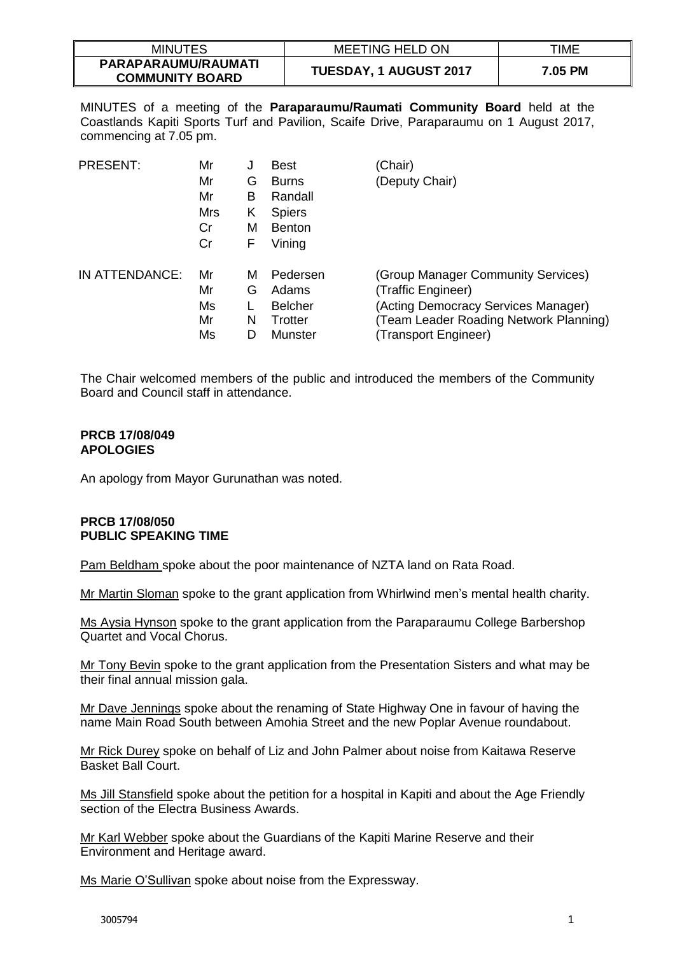| <b>MINUTES</b>                                | <b>MEETING HELD ON</b>        | TIME    |
|-----------------------------------------------|-------------------------------|---------|
| PARAPARAUMU/RAUMATI<br><b>COMMUNITY BOARD</b> | <b>TUESDAY, 1 AUGUST 2017</b> | 7.05 PM |

MINUTES of a meeting of the **Paraparaumu/Raumati Community Board** held at the Coastlands Kapiti Sports Turf and Pavilion, Scaife Drive, Paraparaumu on 1 August 2017, commencing at 7.05 pm.

| <b>PRESENT:</b> | Mr<br>Mr<br>Mr<br>Mrs<br>Cr<br>Cr | J<br>G<br>В<br>Κ<br>м<br>F | <b>Best</b><br><b>Burns</b><br>Randall<br><b>Spiers</b><br><b>Benton</b><br>Vining | (Chair)<br>(Deputy Chair)                                                                                                                                         |
|-----------------|-----------------------------------|----------------------------|------------------------------------------------------------------------------------|-------------------------------------------------------------------------------------------------------------------------------------------------------------------|
| IN ATTENDANCE:  | Mr<br>Mr<br>Ms<br>Mr<br>Ms        | м<br>G<br>N<br>D           | Pedersen<br>Adams<br><b>Belcher</b><br>Trotter<br>Munster                          | (Group Manager Community Services)<br>(Traffic Engineer)<br>(Acting Democracy Services Manager)<br>(Team Leader Roading Network Planning)<br>(Transport Engineer) |

The Chair welcomed members of the public and introduced the members of the Community Board and Council staff in attendance.

#### **PRCB 17/08/049 APOLOGIES**

An apology from Mayor Gurunathan was noted.

#### **PRCB 17/08/050 PUBLIC SPEAKING TIME**

Pam Beldham spoke about the poor maintenance of NZTA land on Rata Road.

Mr Martin Sloman spoke to the grant application from Whirlwind men's mental health charity.

Ms Aysia Hynson spoke to the grant application from the Paraparaumu College Barbershop Quartet and Vocal Chorus.

Mr Tony Bevin spoke to the grant application from the Presentation Sisters and what may be their final annual mission gala.

Mr Dave Jennings spoke about the renaming of State Highway One in favour of having the name Main Road South between Amohia Street and the new Poplar Avenue roundabout.

Mr Rick Durey spoke on behalf of Liz and John Palmer about noise from Kaitawa Reserve Basket Ball Court.

Ms Jill Stansfield spoke about the petition for a hospital in Kapiti and about the Age Friendly section of the Electra Business Awards.

Mr Karl Webber spoke about the Guardians of the Kapiti Marine Reserve and their Environment and Heritage award.

Ms Marie O'Sullivan spoke about noise from the Expressway.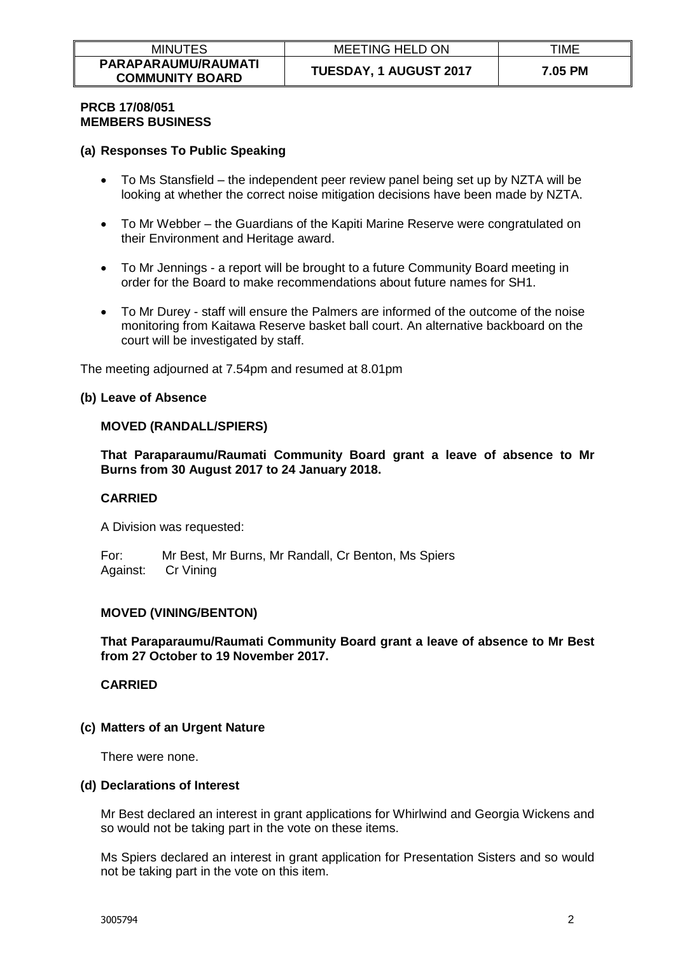# **PRCB 17/08/051 MEMBERS BUSINESS**

# **(a) Responses To Public Speaking**

- To Ms Stansfield the independent peer review panel being set up by NZTA will be looking at whether the correct noise mitigation decisions have been made by NZTA.
- To Mr Webber the Guardians of the Kapiti Marine Reserve were congratulated on their Environment and Heritage award.
- To Mr Jennings a report will be brought to a future Community Board meeting in order for the Board to make recommendations about future names for SH1.
- To Mr Durey staff will ensure the Palmers are informed of the outcome of the noise monitoring from Kaitawa Reserve basket ball court. An alternative backboard on the court will be investigated by staff.

The meeting adjourned at 7.54pm and resumed at 8.01pm

# **(b) Leave of Absence**

# **MOVED (RANDALL/SPIERS)**

**That Paraparaumu/Raumati Community Board grant a leave of absence to Mr Burns from 30 August 2017 to 24 January 2018.**

#### **CARRIED**

A Division was requested:

For: Mr Best, Mr Burns, Mr Randall, Cr Benton, Ms Spiers Against: Cr Vining

# **MOVED (VINING/BENTON)**

**That Paraparaumu/Raumati Community Board grant a leave of absence to Mr Best from 27 October to 19 November 2017.**

**CARRIED**

#### **(c) Matters of an Urgent Nature**

There were none.

#### **(d) Declarations of Interest**

Mr Best declared an interest in grant applications for Whirlwind and Georgia Wickens and so would not be taking part in the vote on these items.

Ms Spiers declared an interest in grant application for Presentation Sisters and so would not be taking part in the vote on this item.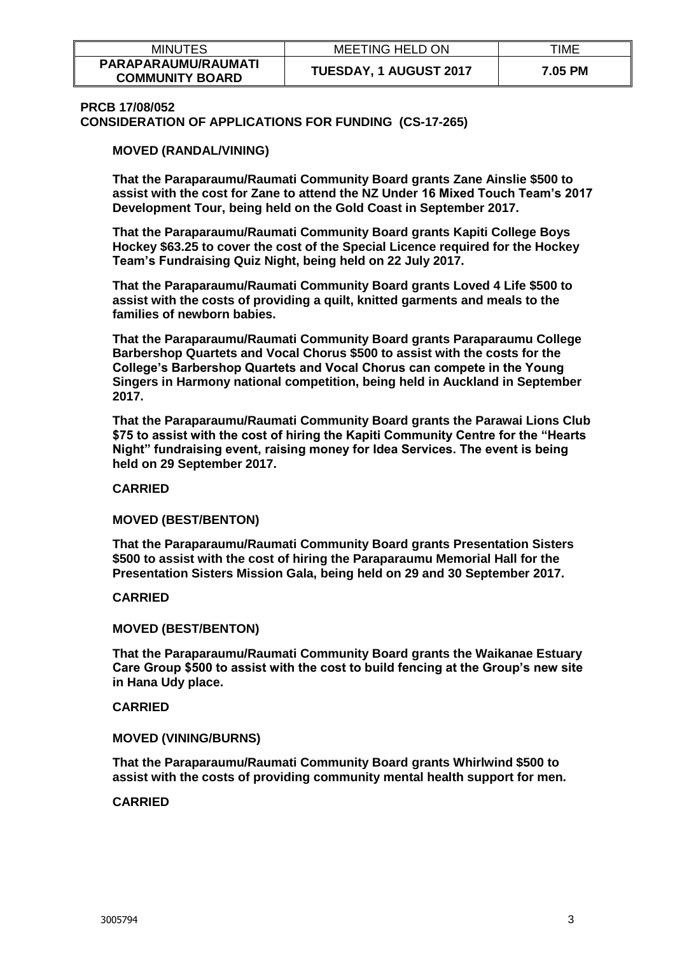| <b>MINUTES</b>                                | <b>MEETING HELD ON</b>        | TIME    |
|-----------------------------------------------|-------------------------------|---------|
| PARAPARAUMU/RAUMATI<br><b>COMMUNITY BOARD</b> | <b>TUESDAY, 1 AUGUST 2017</b> | 7.05 PM |

#### **PRCB 17/08/052**

**CONSIDERATION OF APPLICATIONS FOR FUNDING (CS-17-265)**

**MOVED (RANDAL/VINING)** 

**That the Paraparaumu/Raumati Community Board grants Zane Ainslie \$500 to assist with the cost for Zane to attend the NZ Under 16 Mixed Touch Team's 2017 Development Tour, being held on the Gold Coast in September 2017.**

**That the Paraparaumu/Raumati Community Board grants Kapiti College Boys Hockey \$63.25 to cover the cost of the Special Licence required for the Hockey Team's Fundraising Quiz Night, being held on 22 July 2017.**

**That the Paraparaumu/Raumati Community Board grants Loved 4 Life \$500 to assist with the costs of providing a quilt, knitted garments and meals to the families of newborn babies.**

**That the Paraparaumu/Raumati Community Board grants Paraparaumu College Barbershop Quartets and Vocal Chorus \$500 to assist with the costs for the College's Barbershop Quartets and Vocal Chorus can compete in the Young Singers in Harmony national competition, being held in Auckland in September 2017.**

**That the Paraparaumu/Raumati Community Board grants the Parawai Lions Club \$75 to assist with the cost of hiring the Kapiti Community Centre for the "Hearts Night" fundraising event, raising money for Idea Services. The event is being held on 29 September 2017.**

**CARRIED**

**MOVED (BEST/BENTON)**

**That the Paraparaumu/Raumati Community Board grants Presentation Sisters \$500 to assist with the cost of hiring the Paraparaumu Memorial Hall for the Presentation Sisters Mission Gala, being held on 29 and 30 September 2017.**

**CARRIED**

**MOVED (BEST/BENTON)**

**That the Paraparaumu/Raumati Community Board grants the Waikanae Estuary Care Group \$500 to assist with the cost to build fencing at the Group's new site in Hana Udy place.**

**CARRIED**

**MOVED (VINING/BURNS)**

**That the Paraparaumu/Raumati Community Board grants Whirlwind \$500 to assist with the costs of providing community mental health support for men.**

**CARRIED**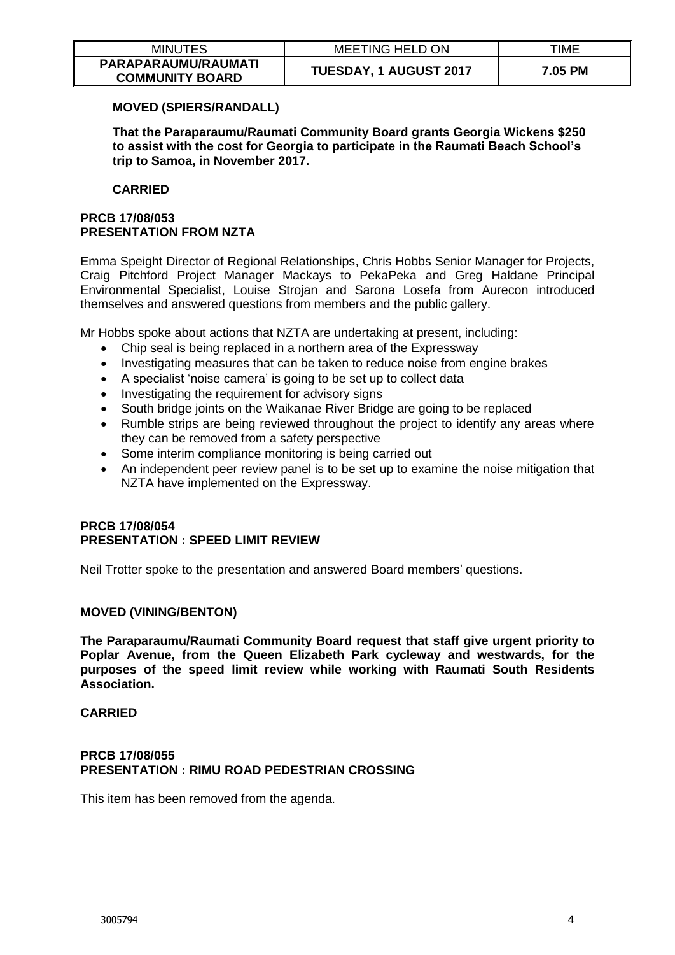| <b>MINUTES</b>                                | <b>MEETING HELD ON</b>        | TIME    |
|-----------------------------------------------|-------------------------------|---------|
| PARAPARAUMU/RAUMATI<br><b>COMMUNITY BOARD</b> | <b>TUESDAY, 1 AUGUST 2017</b> | 7.05 PM |

# **MOVED (SPIERS/RANDALL)**

**That the Paraparaumu/Raumati Community Board grants Georgia Wickens \$250 to assist with the cost for Georgia to participate in the Raumati Beach School's trip to Samoa, in November 2017.**

# **CARRIED**

# **PRCB 17/08/053 PRESENTATION FROM NZTA**

Emma Speight Director of Regional Relationships, Chris Hobbs Senior Manager for Projects, Craig Pitchford Project Manager Mackays to PekaPeka and Greg Haldane Principal Environmental Specialist, Louise Strojan and Sarona Losefa from Aurecon introduced themselves and answered questions from members and the public gallery.

Mr Hobbs spoke about actions that NZTA are undertaking at present, including:

- Chip seal is being replaced in a northern area of the Expressway
- Investigating measures that can be taken to reduce noise from engine brakes
- A specialist 'noise camera' is going to be set up to collect data
- Investigating the requirement for advisory signs
- South bridge joints on the Waikanae River Bridge are going to be replaced
- Rumble strips are being reviewed throughout the project to identify any areas where they can be removed from a safety perspective
- Some interim compliance monitoring is being carried out
- An independent peer review panel is to be set up to examine the noise mitigation that NZTA have implemented on the Expressway.

# **PRCB 17/08/054 PRESENTATION : SPEED LIMIT REVIEW**

Neil Trotter spoke to the presentation and answered Board members' questions.

# **MOVED (VINING/BENTON)**

**The Paraparaumu/Raumati Community Board request that staff give urgent priority to Poplar Avenue, from the Queen Elizabeth Park cycleway and westwards, for the purposes of the speed limit review while working with Raumati South Residents Association.** 

#### **CARRIED**

# **PRCB 17/08/055 PRESENTATION : RIMU ROAD PEDESTRIAN CROSSING**

This item has been removed from the agenda.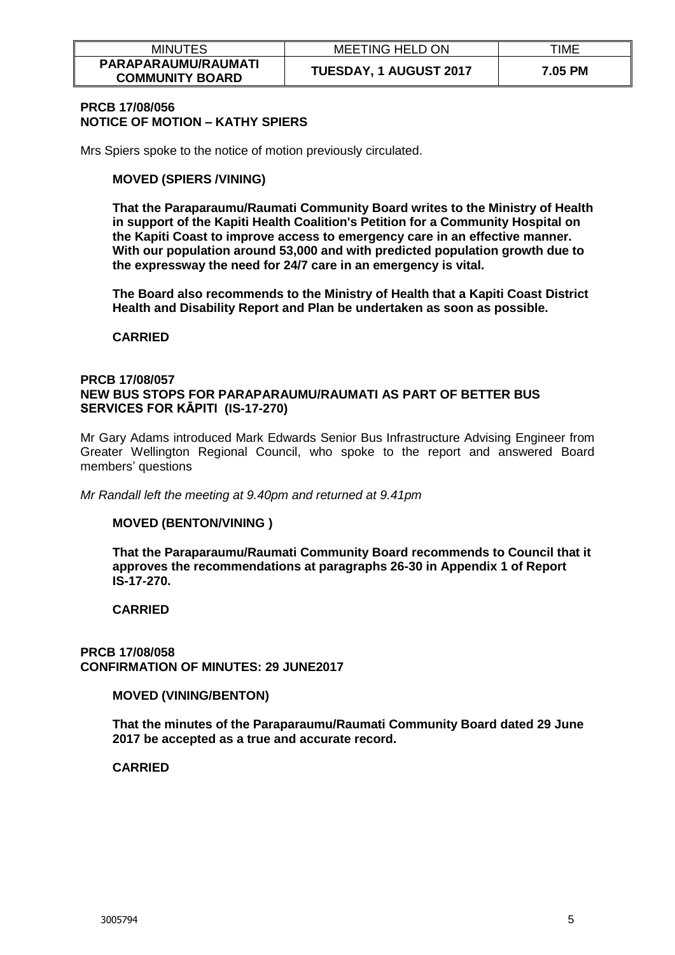| <b>MINUTES</b>                                | <b>MEETING HELD ON</b>        | TIME    |
|-----------------------------------------------|-------------------------------|---------|
| PARAPARAUMU/RAUMATI<br><b>COMMUNITY BOARD</b> | <b>TUESDAY, 1 AUGUST 2017</b> | 7.05 PM |

#### **PRCB 17/08/056 NOTICE OF MOTION – KATHY SPIERS**

Mrs Spiers spoke to the notice of motion previously circulated.

#### **MOVED (SPIERS /VINING)**

**That the Paraparaumu/Raumati Community Board writes to the Ministry of Health in support of the Kapiti Health Coalition's Petition for a Community Hospital on the Kapiti Coast to improve access to emergency care in an effective manner. With our population around 53,000 and with predicted population growth due to the expressway the need for 24/7 care in an emergency is vital.** 

**The Board also recommends to the Ministry of Health that a Kapiti Coast District Health and Disability Report and Plan be undertaken as soon as possible.**

**CARRIED**

# **PRCB 17/08/057 NEW BUS STOPS FOR PARAPARAUMU/RAUMATI AS PART OF BETTER BUS SERVICES FOR KĀPITI (IS-17-270)**

Mr Gary Adams introduced Mark Edwards Senior Bus Infrastructure Advising Engineer from Greater Wellington Regional Council, who spoke to the report and answered Board members' questions

*Mr Randall left the meeting at 9.40pm and returned at 9.41pm*

#### **MOVED (BENTON/VINING )**

**That the Paraparaumu/Raumati Community Board recommends to Council that it approves the recommendations at paragraphs 26-30 in Appendix 1 of Report IS-17-270.**

#### **CARRIED**

**PRCB 17/08/058 CONFIRMATION OF MINUTES: 29 JUNE2017**

#### **MOVED (VINING/BENTON)**

**That the minutes of the Paraparaumu/Raumati Community Board dated 29 June 2017 be accepted as a true and accurate record.** 

#### **CARRIED**